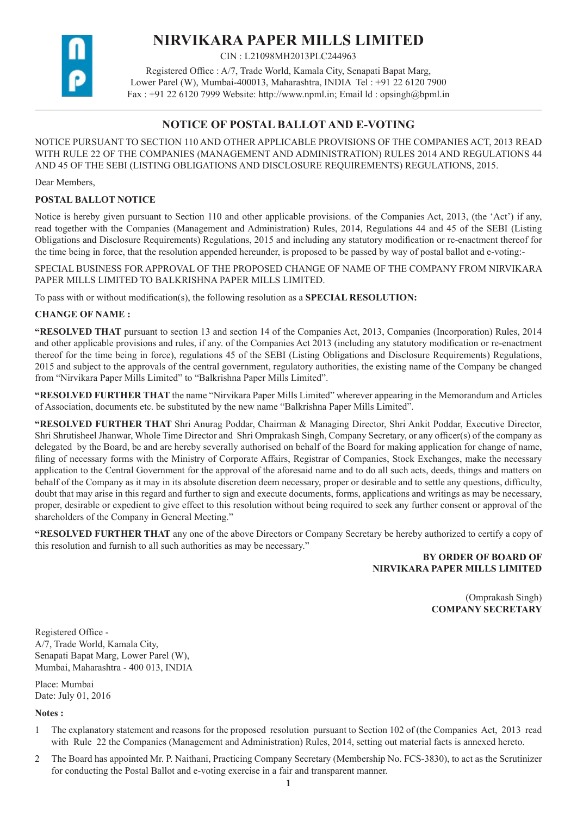

# **NIRVIKARA PAPER MILLS LIMITED**

CIN : L21098MH2013PLC244963

Registered Office : A/7, Trade World, Kamala City, Senapati Bapat Marg, Lower Parel (W), Mumbai-400013, Maharashtra, INDIA Tel : +91 22 6120 7900 Fax :  $+91$  22 6120 7999 Website: http://www.npml.in; Email ld : opsingh@bpml.in

# **NOTICE OF POSTAL BALLOT AND E-VOTING**

NOTICE PURSUANT TO SECTION 110 AND OTHER APPLICABLE PROVISIONS OF THE COMPANIES ACT, 2013 READ WITH RULE 22 OF THE COMPANIES (MANAGEMENT AND ADMINISTRATION) RULES 2014 AND REGULATIONS 44 AND 45 OF THE SEBI (LISTING OBLIGATIONS AND DISCLOSURE REQUIREMENTS) REGULATIONS, 2015.

Dear Members,

# **POSTAL BALLOT NOTICE**

Notice is hereby given pursuant to Section 110 and other applicable provisions. of the Companies Act, 2013, (the 'Act') if any, read together with the Companies (Management and Administration) Rules, 2014, Regulations 44 and 45 of the SEBI (Listing Obligations and Disclosure Requirements) Regulations, 2015 and including any statutory modification or re-enactment thereof for the time being in force, that the resolution appended hereunder, is proposed to be passed by way of postal ballot and e-voting:-

SPECIAL BUSINESS FOR APPROVAL OF THE PROPOSED CHANGE OF NAME OF THE COMPANY FROM NIRVIKARA PAPER MILLS LIMITED TO BALKRISHNA PAPER MILLS LIMITED.

To pass with or without modification(s), the following resolution as a **SPECIAL RESOLUTION:**

# **CHANGE OF NAME :**

**"RESOLVED THAT** pursuant to section 13 and section 14 of the Companies Act, 2013, Companies (Incorporation) Rules, 2014 and other applicable provisions and rules, if any. of the Companies Act 2013 (including any statutory modification or re-enactment thereof for the time being in force), regulations 45 of the SEBI (Listing Obligations and Disclosure Requirements) Regulations, 2015 and subject to the approvals of the central government, regulatory authorities, the existing name of the Company be changed from "Nirvikara Paper Mills Limited" to "Balkrishna Paper Mills Limited".

**"RESOLVED FURTHER THAT** the name "Nirvikara Paper Mills Limited" wherever appearing in the Memorandum and Articles of Association, documents etc. be substituted by the new name "Balkrishna Paper Mills Limited".

**"RESOLVED FURTHER THAT** Shri Anurag Poddar, Chairman & Managing Director, Shri Ankit Poddar, Executive Director, Shri Shrutisheel Jhanwar, Whole Time Director and Shri Omprakash Singh, Company Secretary, or any officer(s) of the company as delegated by the Board, be and are hereby severally authorised on behalf of the Board for making application for change of name, filing of necessary forms with the Ministry of Corporate Affairs, Registrar of Companies, Stock Exchanges, make the necessary application to the Central Government for the approval of the aforesaid name and to do all such acts, deeds, things and matters on behalf of the Company as it may in its absolute discretion deem necessary, proper or desirable and to settle any questions, difficulty, doubt that may arise in this regard and further to sign and execute documents, forms, applications and writings as may be necessary, proper, desirable or expedient to give effect to this resolution without being required to seek any further consent or approval of the shareholders of the Company in General Meeting."

**"RESOLVED FURTHER THAT** any one of the above Directors or Company Secretary be hereby authorized to certify a copy of this resolution and furnish to all such authorities as may be necessary."

# **BY ORDER OF BOARD OF NIRVIKARA PAPER MILLS LIMITED**

(Omprakash Singh) **COMPANY SECRETARY** 

Registered Office - A/7, Trade World, Kamala City, Senapati Bapat Marg, Lower Parel (W), Mumbai, Maharashtra - 400 013, INDIA

Place: Mumbai Date: July 01, 2016

**Notes :**

- 1 The explanatory statement and reasons for the proposed resolution pursuant to Section 102 of (the Companies Act, 2013 read with Rule 22 the Companies (Management and Administration) Rules, 2014, setting out material facts is annexed hereto.
- 2 The Board has appointed Mr. P. Naithani, Practicing Company Secretary (Membership No. FCS-3830), to act as the Scrutinizer for conducting the Postal Ballot and e-voting exercise in a fair and transparent manner.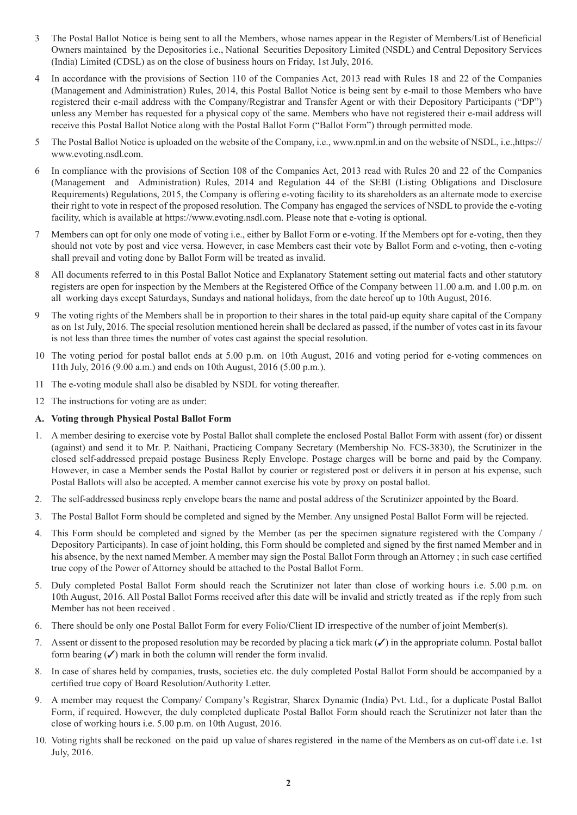- 3 The Postal Ballot Notice is being sent to all the Members, whose names appear in the Register of Members/List of Beneficial Owners maintained by the Depositories i.e., National Securities Depository Limited (NSDL) and Central Depository Services (India) Limited (CDSL) as on the close of business hours on Friday, 1st July, 2016.
- 4 In accordance with the provisions of Section 110 of the Companies Act, 2013 read with Rules 18 and 22 of the Companies (Management and Administration) Rules, 2014, this Postal Ballot Notice is being sent by e-mail to those Members who have registered their e-mail address with the Company/Registrar and Transfer Agent or with their Depository Participants ("DP") unless any Member has requested for a physical copy of the same. Members who have not registered their e-mail address will receive this Postal Ballot Notice along with the Postal Ballot Form ("Ballot Form") through permitted mode.
- 5 The Postal Ballot Notice is uploaded on the website of the Company, i.e., www.npml.in and on the website of NSDL, i.e.,https:// www.evoting.nsdl.com.
- 6 In compliance with the provisions of Section 108 of the Companies Act, 2013 read with Rules 20 and 22 of the Companies (Management and Administration) Rules, 2014 and Regulation 44 of the SEBI (Listing Obligations and Disclosure Requirements) Regulations, 2015, the Company is offering e-voting facility to its shareholders as an alternate mode to exercise their right to vote in respect of the proposed resolution. The Company has engaged the services of NSDL to provide the e-voting facility, which is available at https://www.evoting.nsdl.com. Please note that e-voting is optional.
- 7 Members can opt for only one mode of voting i.e., either by Ballot Form or e-voting. If the Members opt for e-voting, then they should not vote by post and vice versa. However, in case Members cast their vote by Ballot Form and e-voting, then e-voting shall prevail and voting done by Ballot Form will be treated as invalid.
- 8 All documents referred to in this Postal Ballot Notice and Explanatory Statement setting out material facts and other statutory registers are open for inspection by the Members at the Registered Office of the Company between 11.00 a.m. and 1.00 p.m. on all working days except Saturdays, Sundays and national holidays, from the date hereof up to 10th August, 2016.
- 9 The voting rights of the Members shall be in proportion to their shares in the total paid-up equity share capital of the Company as on 1st July, 2016. The special resolution mentioned herein shall be declared as passed, if the number of votes cast in its favour is not less than three times the number of votes cast against the special resolution.
- 10 The voting period for postal ballot ends at 5.00 p.m. on 10th August, 2016 and voting period for e-voting commences on 11th July, 2016 (9.00 a.m.) and ends on 10th August, 2016 (5.00 p.m.).
- 11 The e-voting module shall also be disabled by NSDL for voting thereafter.
- 12 The instructions for voting are as under:

#### **A. Voting through Physical Postal Ballot Form**

- 1. A member desiring to exercise vote by Postal Ballot shall complete the enclosed Postal Ballot Form with assent (for) or dissent (against) and send it to Mr. P. Naithani, Practicing Company Secretary (Membership No. FCS-3830), the Scrutinizer in the closed self-addressed prepaid postage Business Reply Envelope. Postage charges will be borne and paid by the Company. However, in case a Member sends the Postal Ballot by courier or registered post or delivers it in person at his expense, such Postal Ballots will also be accepted. A member cannot exercise his vote by proxy on postal ballot.
- 2. The self-addressed business reply envelope bears the name and postal address of the Scrutinizer appointed by the Board.
- 3. The Postal Ballot Form should be completed and signed by the Member. Any unsigned Postal Ballot Form will be rejected.
- 4. This Form should be completed and signed by the Member (as per the specimen signature registered with the Company / Depository Participants). In case of joint holding, this Form should be completed and signed by the first named Member and in his absence, by the next named Member. A member may sign the Postal Ballot Form through an Attorney ; in such case certified true copy of the Power of Attorney should be attached to the Postal Ballot Form.
- 5. Duly completed Postal Ballot Form should reach the Scrutinizer not later than close of working hours i.e. 5.00 p.m. on 10th August, 2016. All Postal Ballot Forms received after this date will be invalid and strictly treated as if the reply from such Member has not been received .
- 6. There should be only one Postal Ballot Form for every Folio/Client ID irrespective of the number of joint Member(s).
- 7. Assent or dissent to the proposed resolution may be recorded by placing a tick mark  $(\checkmark)$  in the appropriate column. Postal ballot form bearing  $(\checkmark)$  mark in both the column will render the form invalid.
- 8. In case of shares held by companies, trusts, societies etc. the duly completed Postal Ballot Form should be accompanied by a certified true copy of Board Resolution/Authority Letter.
- 9. A member may request the Company/ Company's Registrar, Sharex Dynamic (India) Pvt. Ltd., for a duplicate Postal Ballot Form, if required. However, the duly completed duplicate Postal Ballot Form should reach the Scrutinizer not later than the close of working hours i.e. 5.00 p.m. on 10th August, 2016.
- 10. Voting rights shall be reckoned on the paid up value of shares registered in the name of the Members as on cut-off date i.e. 1st July, 2016.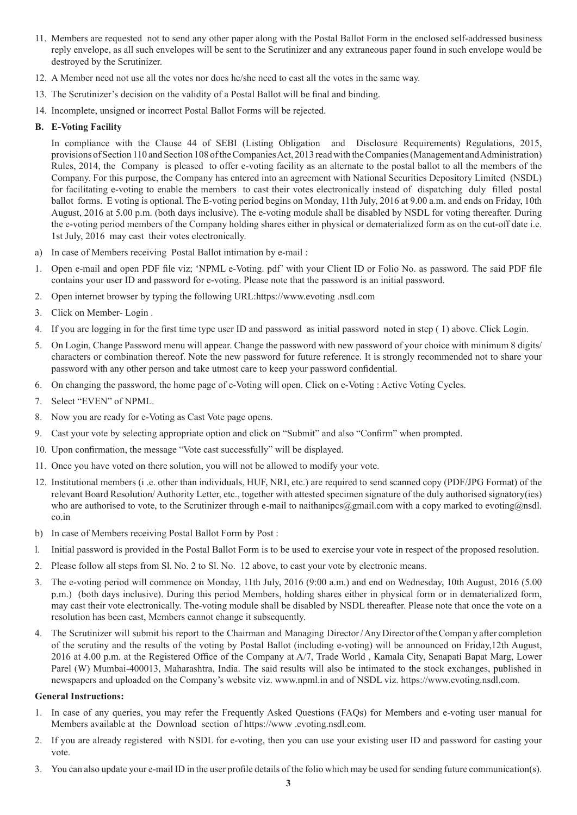- 11. Members are requested not to send any other paper along with the Postal Ballot Form in the enclosed self-addressed business reply envelope, as all such envelopes will be sent to the Scrutinizer and any extraneous paper found in such envelope would be destroyed by the Scrutinizer.
- 12. A Member need not use all the votes nor does he/she need to cast all the votes in the same way.
- 13. The Scrutinizer's decision on the validity of a Postal Ballot will be final and binding.
- 14. Incomplete, unsigned or incorrect Postal Ballot Forms will be rejected.

### **B. E-Voting Facility**

In compliance with the Clause 44 of SEBI (Listing Obligation and Disclosure Requirements) Regulations, 2015, provisions of Section 110 and Section 108 of the Companies Act, 2013 read with the Companies (Management and Administration) Rules, 2014, the Company is pleased to offer e-voting facility as an alternate to the postal ballot to all the members of the Company. For this purpose, the Company has entered into an agreement with National Securities Depository Limited (NSDL) for facilitating e-voting to enable the members to cast their votes electronically instead of dispatching duly filled postal ballot forms. E voting is optional. The E-voting period begins on Monday, 11th July, 2016 at 9.00 a.m. and ends on Friday, 10th August, 2016 at 5.00 p.m. (both days inclusive). The e-voting module shall be disabled by NSDL for voting thereafter. During the e-voting period members of the Company holding shares either in physical or dematerialized form as on the cut-off date i.e. 1st July, 2016 may cast their votes electronically.

- a) In case of Members receiving Postal Ballot intimation by e-mail :
- 1. Open e-mail and open PDF file viz; 'NPML e-Voting. pdf' with your Client ID or Folio No. as password. The said PDF file contains your user ID and password for e-voting. Please note that the password is an initial password.
- 2. Open internet browser by typing the following URL:https://www.evoting .nsdl.com
- 3. Click on Member- Login .
- 4. If you are logging in for the first time type user ID and password as initial password noted in step ( 1) above. Click Login.
- 5. On Login, Change Password menu will appear. Change the password with new password of your choice with minimum 8 digits/ characters or combination thereof. Note the new password for future reference. It is strongly recommended not to share your password with any other person and take utmost care to keep your password confidential.
- 6. On changing the password, the home page of e-Voting will open. Click on e-Voting : Active Voting Cycles.
- 7. Select "EVEN" of NPML.
- 8. Now you are ready for e-Voting as Cast Vote page opens.
- 9. Cast your vote by selecting appropriate option and click on "Submit" and also "Confirm" when prompted.
- 10. Upon confirmation, the message "Vote cast successfully" will be displayed.
- 11. Once you have voted on there solution, you will not be allowed to modify your vote.
- 12. Institutional members (i .e. other than individuals, HUF, NRI, etc.) are required to send scanned copy (PDF/JPG Format) of the relevant Board Resolution/ Authority Letter, etc., together with attested specimen signature of the duly authorised signatory(ies) who are authorised to vote, to the Scrutinizer through e-mail to naithanipcs@gmail.com with a copy marked to evoting@nsdl. co.in
- b) In case of Members receiving Postal Ballot Form by Post :
- l. Initial password is provided in the Postal Ballot Form is to be used to exercise your vote in respect of the proposed resolution.
- 2. Please follow all steps from Sl. No. 2 to Sl. No. 12 above, to cast your vote by electronic means.
- 3. The e-voting period will commence on Monday, 11th July, 2016 (9:00 a.m.) and end on Wednesday, 10th August, 2016 (5.00 p.m.) (both days inclusive). During this period Members, holding shares either in physical form or in dematerialized form, may cast their vote electronically. The-voting module shall be disabled by NSDL thereafter. Please note that once the vote on a resolution has been cast, Members cannot change it subsequently.
- 4. The Scrutinizer will submit his report to the Chairman and Managing Director / Any Director of the Compan y after completion of the scrutiny and the results of the voting by Postal Ballot (including e-voting) will be announced on Friday,12th August, 2016 at 4.00 p.m. at the Registered Office of the Company at A/7, Trade World , Kamala City, Senapati Bapat Marg, Lower Parel (W) Mumbai-400013, Maharashtra, India. The said results will also be intimated to the stock exchanges, published in newspapers and uploaded on the Company's website viz. www.npml.in and of NSDL viz. https://www.evoting.nsdl.com.

#### **General Instructions:**

- 1. In case of any queries, you may refer the Frequently Asked Questions (FAQs) for Members and e-voting user manual for Members available at the Download section of https://www .evoting.nsdl.com.
- 2. If you are already registered with NSDL for e-voting, then you can use your existing user ID and password for casting your vote.
- 3. You can also update your e-mail ID in the user profile details of the folio which may be used for sending future communication(s).